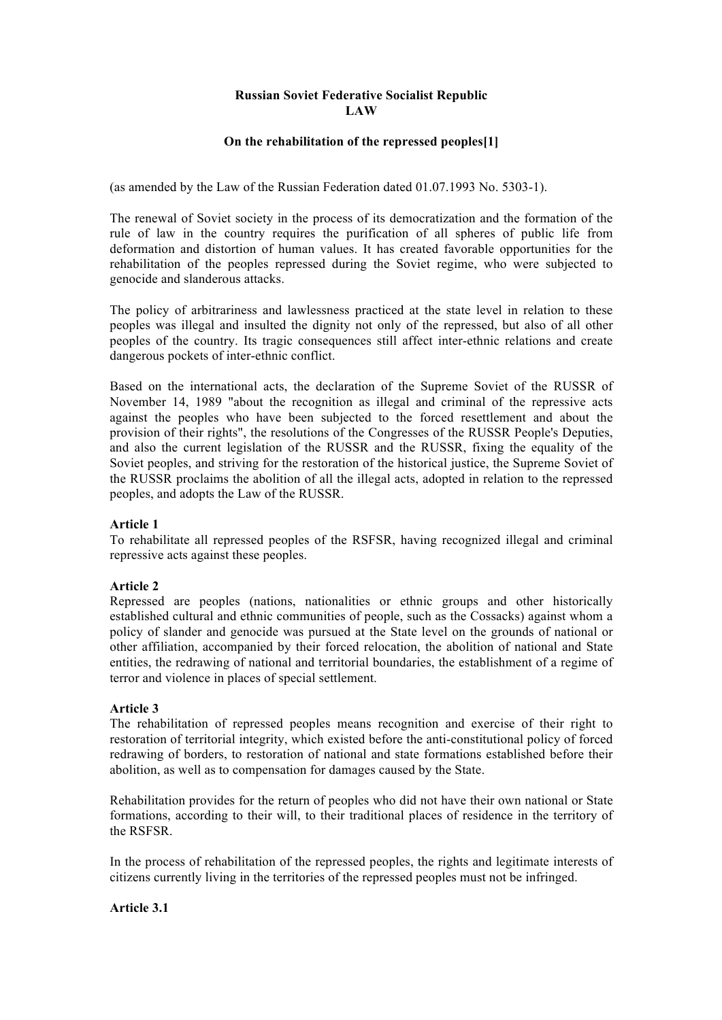# **Russian Soviet Federative Socialist Republic LAW**

# **On the rehabilitation of the repressed peoples[1]**

(as amended by the Law of the Russian Federation dated 01.07.1993 No. 5303-1).

The renewal of Soviet society in the process of its democratization and the formation of the rule of law in the country requires the purification of all spheres of public life from deformation and distortion of human values. It has created favorable opportunities for the rehabilitation of the peoples repressed during the Soviet regime, who were subjected to genocide and slanderous attacks.

The policy of arbitrariness and lawlessness practiced at the state level in relation to these peoples was illegal and insulted the dignity not only of the repressed, but also of all other peoples of the country. Its tragic consequences still affect inter-ethnic relations and create dangerous pockets of inter-ethnic conflict.

Based on the international acts, the declaration of the Supreme Soviet of the RUSSR of November 14, 1989 "about the recognition as illegal and criminal of the repressive acts against the peoples who have been subjected to the forced resettlement and about the provision of their rights", the resolutions of the Congresses of the RUSSR People's Deputies, and also the current legislation of the RUSSR and the RUSSR, fixing the equality of the Soviet peoples, and striving for the restoration of the historical justice, the Supreme Soviet of the RUSSR proclaims the abolition of all the illegal acts, adopted in relation to the repressed peoples, and adopts the Law of the RUSSR.

#### **Article 1**

To rehabilitate all repressed peoples of the RSFSR, having recognized illegal and criminal repressive acts against these peoples.

#### **Article 2**

Repressed are peoples (nations, nationalities or ethnic groups and other historically established cultural and ethnic communities of people, such as the Cossacks) against whom a policy of slander and genocide was pursued at the State level on the grounds of national or other affiliation, accompanied by their forced relocation, the abolition of national and State entities, the redrawing of national and territorial boundaries, the establishment of a regime of terror and violence in places of special settlement.

## **Article 3**

The rehabilitation of repressed peoples means recognition and exercise of their right to restoration of territorial integrity, which existed before the anti-constitutional policy of forced redrawing of borders, to restoration of national and state formations established before their abolition, as well as to compensation for damages caused by the State.

Rehabilitation provides for the return of peoples who did not have their own national or State formations, according to their will, to their traditional places of residence in the territory of the RSFSR.

In the process of rehabilitation of the repressed peoples, the rights and legitimate interests of citizens currently living in the territories of the repressed peoples must not be infringed.

#### **Article 3.1**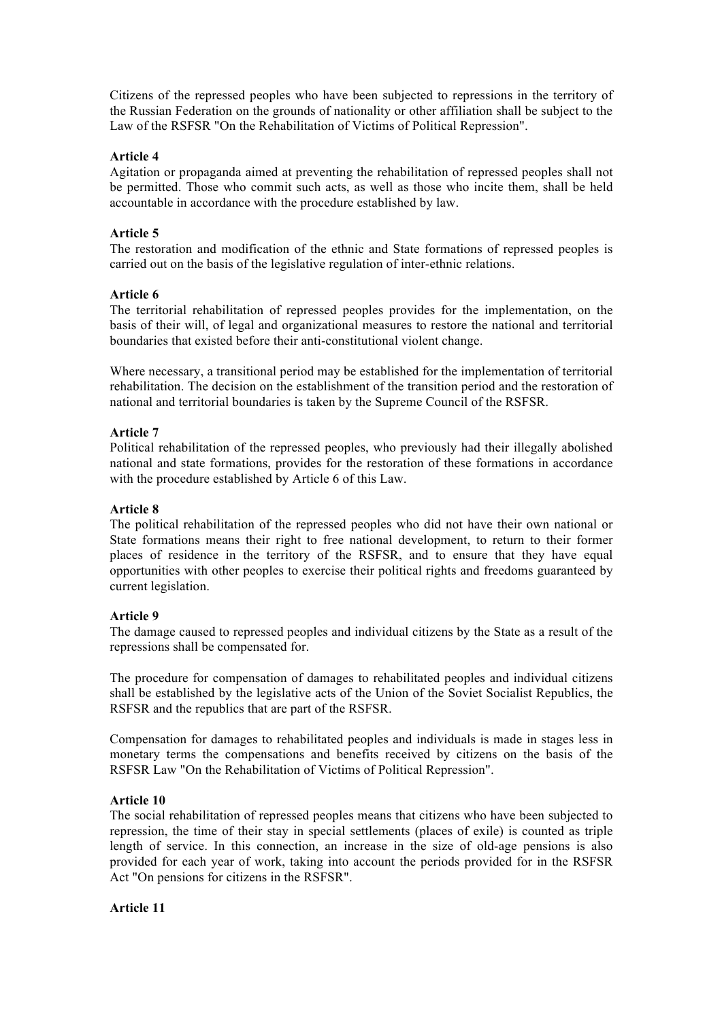Citizens of the repressed peoples who have been subjected to repressions in the territory of the Russian Federation on the grounds of nationality or other affiliation shall be subject to the Law of the RSFSR "On the Rehabilitation of Victims of Political Repression".

# **Article 4**

Agitation or propaganda aimed at preventing the rehabilitation of repressed peoples shall not be permitted. Those who commit such acts, as well as those who incite them, shall be held accountable in accordance with the procedure established by law.

# **Article 5**

The restoration and modification of the ethnic and State formations of repressed peoples is carried out on the basis of the legislative regulation of inter-ethnic relations.

## **Article 6**

The territorial rehabilitation of repressed peoples provides for the implementation, on the basis of their will, of legal and organizational measures to restore the national and territorial boundaries that existed before their anti-constitutional violent change.

Where necessary, a transitional period may be established for the implementation of territorial rehabilitation. The decision on the establishment of the transition period and the restoration of national and territorial boundaries is taken by the Supreme Council of the RSFSR.

## **Article 7**

Political rehabilitation of the repressed peoples, who previously had their illegally abolished national and state formations, provides for the restoration of these formations in accordance with the procedure established by Article 6 of this Law.

## **Article 8**

The political rehabilitation of the repressed peoples who did not have their own national or State formations means their right to free national development, to return to their former places of residence in the territory of the RSFSR, and to ensure that they have equal opportunities with other peoples to exercise their political rights and freedoms guaranteed by current legislation.

# **Article 9**

The damage caused to repressed peoples and individual citizens by the State as a result of the repressions shall be compensated for.

The procedure for compensation of damages to rehabilitated peoples and individual citizens shall be established by the legislative acts of the Union of the Soviet Socialist Republics, the RSFSR and the republics that are part of the RSFSR.

Compensation for damages to rehabilitated peoples and individuals is made in stages less in monetary terms the compensations and benefits received by citizens on the basis of the RSFSR Law "On the Rehabilitation of Victims of Political Repression".

# **Article 10**

The social rehabilitation of repressed peoples means that citizens who have been subjected to repression, the time of their stay in special settlements (places of exile) is counted as triple length of service. In this connection, an increase in the size of old-age pensions is also provided for each year of work, taking into account the periods provided for in the RSFSR Act "On pensions for citizens in the RSFSR".

#### **Article 11**